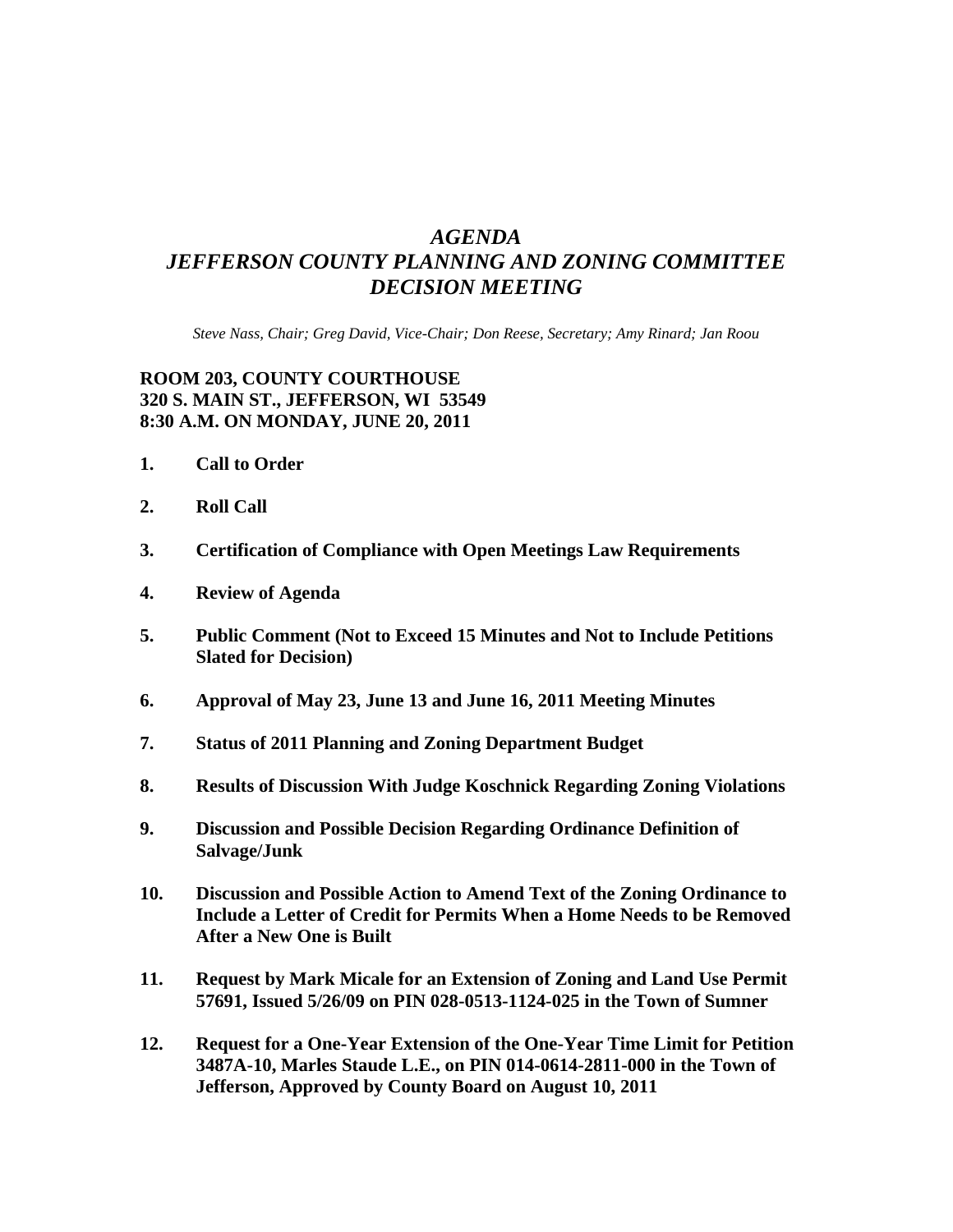## *AGENDA JEFFERSON COUNTY PLANNING AND ZONING COMMITTEE DECISION MEETING*

*Steve Nass, Chair; Greg David, Vice-Chair; Don Reese, Secretary; Amy Rinard; Jan Roou* 

## **ROOM 203, COUNTY COURTHOUSE 320 S. MAIN ST., JEFFERSON, WI 53549 8:30 A.M. ON MONDAY, JUNE 20, 2011**

- **1. Call to Order**
- **2. Roll Call**
- **3. Certification of Compliance with Open Meetings Law Requirements**
- **4. Review of Agenda**
- **5. Public Comment (Not to Exceed 15 Minutes and Not to Include Petitions Slated for Decision)**
- **6. Approval of May 23, June 13 and June 16, 2011 Meeting Minutes**
- **7. Status of 2011 Planning and Zoning Department Budget**
- **8. Results of Discussion With Judge Koschnick Regarding Zoning Violations**
- **9. Discussion and Possible Decision Regarding Ordinance Definition of Salvage/Junk**
- **10. Discussion and Possible Action to Amend Text of the Zoning Ordinance to Include a Letter of Credit for Permits When a Home Needs to be Removed After a New One is Built**
- **11. Request by Mark Micale for an Extension of Zoning and Land Use Permit 57691, Issued 5/26/09 on PIN 028-0513-1124-025 in the Town of Sumner**
- **12. Request for a One-Year Extension of the One-Year Time Limit for Petition 3487A-10, Marles Staude L.E., on PIN 014-0614-2811-000 in the Town of Jefferson, Approved by County Board on August 10, 2011**